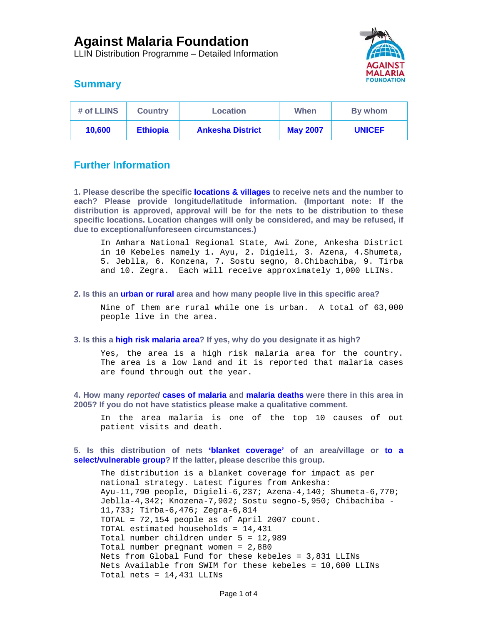LLIN Distribution Programme – Detailed Information



# **Summary**

| # of LLINS | <b>Country</b>  | <b>Location</b>         | When            | By whom       |
|------------|-----------------|-------------------------|-----------------|---------------|
| 10,600     | <b>Ethiopia</b> | <b>Ankesha District</b> | <b>May 2007</b> | <b>UNICEF</b> |

# **Further Information**

**1. Please describe the specific locations & villages to receive nets and the number to each? Please provide longitude/latitude information. (Important note: If the distribution is approved, approval will be for the nets to be distribution to these specific locations. Location changes will only be considered, and may be refused, if due to exceptional/unforeseen circumstances.)** 

In Amhara National Regional State, Awi Zone, Ankesha District in 10 Kebeles namely 1. Ayu, 2. Digieli, 3. Azena, 4.Shumeta, 5. Jeblla, 6. Konzena, 7. Sostu segno, 8.Chibachiba, 9. Tirba and 10. Zegra. Each will receive approximately 1,000 LLINs.

### **2. Is this an urban or rural area and how many people live in this specific area?**

Nine of them are rural while one is urban. A total of 63,000 people live in the area.

### **3. Is this a high risk malaria area? If yes, why do you designate it as high?**

Yes, the area is a high risk malaria area for the country. The area is a low land and it is reported that malaria cases are found through out the year.

**4. How many** *reported* **cases of malaria and malaria deaths were there in this area in 2005? If you do not have statistics please make a qualitative comment.** 

In the area malaria is one of the top 10 causes of out patient visits and death.

**5. Is this distribution of nets 'blanket coverage' of an area/village or to a select/vulnerable group? If the latter, please describe this group.** 

The distribution is a blanket coverage for impact as per national strategy. Latest figures from Ankesha: Ayu-11,790 people, Digieli-6,237; Azena-4,140; Shumeta-6,770; Jeblla-4,342; Knozena-7,902; Sostu segno-5,950; Chibachiba - 11,733; Tirba-6,476; Zegra-6,814 TOTAL = 72,154 people as of April 2007 count. TOTAL estimated households = 14,431 Total number children under 5 = 12,989 Total number pregnant women = 2,880 Nets from Global Fund for these kebeles = 3,831 LLINs Nets Available from SWIM for these kebeles = 10,600 LLINs Total nets = 14,431 LLINs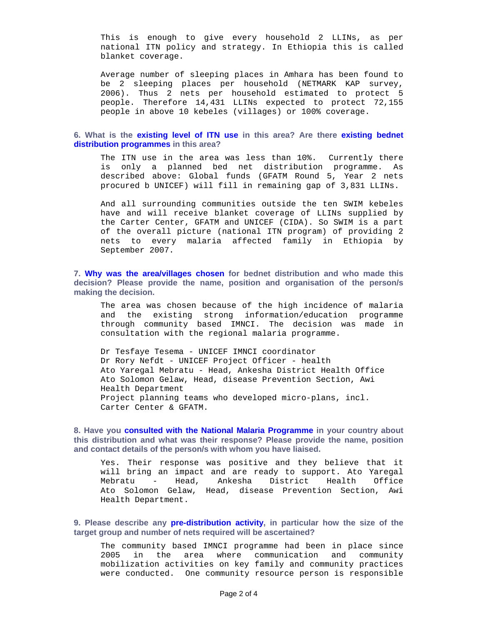This is enough to give every household 2 LLINs, as per national ITN policy and strategy. In Ethiopia this is called blanket coverage.

Average number of sleeping places in Amhara has been found to be 2 sleeping places per household (NETMARK KAP survey, 2006). Thus 2 nets per household estimated to protect 5 people. Therefore 14,431 LLINs expected to protect 72,155 people in above 10 kebeles (villages) or 100% coverage.

### **6. What is the existing level of ITN use in this area? Are there existing bednet distribution programmes in this area?**

The ITN use in the area was less than 10%. Currently there is only a planned bed net distribution programme. As described above: Global funds (GFATM Round 5, Year 2 nets procured b UNICEF) will fill in remaining gap of 3,831 LLINs.

And all surrounding communities outside the ten SWIM kebeles have and will receive blanket coverage of LLINs supplied by the Carter Center, GFATM and UNICEF (CIDA). So SWIM is a part of the overall picture (national ITN program) of providing 2 nets to every malaria affected family in Ethiopia by September 2007.

**7. Why was the area/villages chosen for bednet distribution and who made this decision? Please provide the name, position and organisation of the person/s making the decision.** 

The area was chosen because of the high incidence of malaria and the existing strong information/education programme through community based IMNCI. The decision was made in consultation with the regional malaria programme.

Dr Tesfaye Tesema - UNICEF IMNCI coordinator Dr Rory Nefdt - UNICEF Project Officer - health Ato Yaregal Mebratu - Head, Ankesha District Health Office Ato Solomon Gelaw, Head, disease Prevention Section, Awi Health Department Project planning teams who developed micro-plans, incl. Carter Center & GFATM.

**8. Have you consulted with the National Malaria Programme in your country about this distribution and what was their response? Please provide the name, position and contact details of the person/s with whom you have liaised.** 

Yes. Their response was positive and they believe that it will bring an impact and are ready to support. Ato Yaregal Mebratu - Head, Ankesha District Health Office Ato Solomon Gelaw, Head, disease Prevention Section, Awi Health Department.

**9. Please describe any pre-distribution activity, in particular how the size of the target group and number of nets required will be ascertained?** 

The community based IMNCI programme had been in place since 2005 in the area where communication and community mobilization activities on key family and community practices were conducted. One community resource person is responsible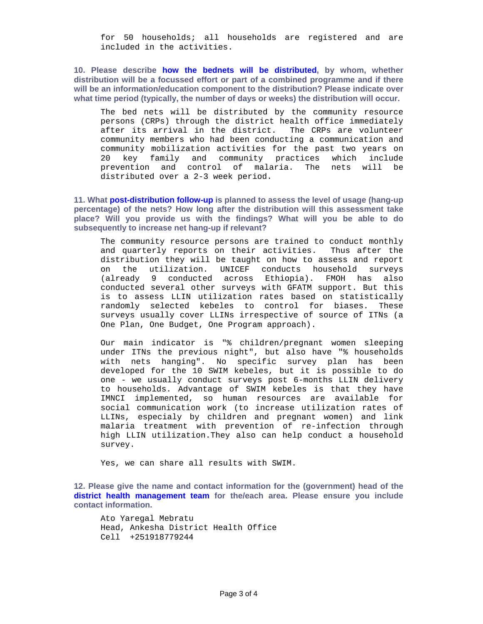for 50 households; all households are registered and are included in the activities.

**10. Please describe how the bednets will be distributed, by whom, whether distribution will be a focussed effort or part of a combined programme and if there will be an information/education component to the distribution? Please indicate over what time period (typically, the number of days or weeks) the distribution will occur.** 

The bed nets will be distributed by the community resource persons (CRPs) through the district health office immediately after its arrival in the district. The CRPs are volunteer community members who had been conducting a communication and community mobilization activities for the past two years on 20 key family and community practices which include prevention and control of malaria. The nets will be distributed over a 2-3 week period.

**11. What post-distribution follow-up is planned to assess the level of usage (hang-up percentage) of the nets? How long after the distribution will this assessment take place? Will you provide us with the findings? What will you be able to do subsequently to increase net hang-up if relevant?** 

The community resource persons are trained to conduct monthly and quarterly reports on their activities. Thus after the distribution they will be taught on how to assess and report on the utilization. UNICEF conducts household surveys (already 9 conducted across Ethiopia). FMOH has also conducted several other surveys with GFATM support. But this is to assess LLIN utilization rates based on statistically randomly selected kebeles to control for biases. These surveys usually cover LLINs irrespective of source of ITNs (a One Plan, One Budget, One Program approach).

Our main indicator is "% children/pregnant women sleeping under ITNs the previous night", but also have "% households with nets hanging". No specific survey plan has been developed for the 10 SWIM kebeles, but it is possible to do one - we usually conduct surveys post 6-months LLIN delivery to households. Advantage of SWIM kebeles is that they have IMNCI implemented, so human resources are available for social communication work (to increase utilization rates of LLINs, especialy by children and pregnant women) and link malaria treatment with prevention of re-infection through high LLIN utilization.They also can help conduct a household survey.

Yes, we can share all results with SWIM.

**12. Please give the name and contact information for the (government) head of the district health management team for the/each area. Please ensure you include contact information.** 

Ato Yaregal Mebratu Head, Ankesha District Health Office Cell +251918779244